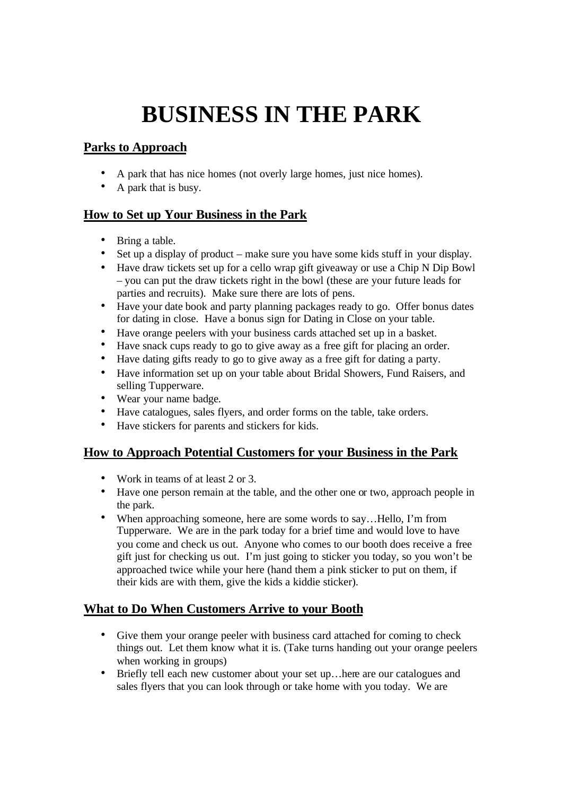# **BUSINESS IN THE PARK**

# **Parks to Approach**

- A park that has nice homes (not overly large homes, just nice homes).
- A park that is busy.

## **How to Set up Your Business in the Park**

- Bring a table.
- Set up a display of product make sure you have some kids stuff in your display.
- Have draw tickets set up for a cello wrap gift giveaway or use a Chip N Dip Bowl – you can put the draw tickets right in the bowl (these are your future leads for parties and recruits). Make sure there are lots of pens.
- Have your date book and party planning packages ready to go. Offer bonus dates for dating in close. Have a bonus sign for Dating in Close on your table.
- Have orange peelers with your business cards attached set up in a basket.
- Have snack cups ready to go to give away as a free gift for placing an order.
- Have dating gifts ready to go to give away as a free gift for dating a party.
- Have information set up on your table about Bridal Showers, Fund Raisers, and selling Tupperware.
- Wear your name badge.
- Have catalogues, sales flyers, and order forms on the table, take orders.
- Have stickers for parents and stickers for kids.

### **How to Approach Potential Customers for your Business in the Park**

- Work in teams of at least 2 or 3.
- Have one person remain at the table, and the other one or two, approach people in the park.
- When approaching someone, here are some words to say...Hello, I'm from Tupperware. We are in the park today for a brief time and would love to have you come and check us out. Anyone who comes to our booth does receive a free gift just for checking us out. I'm just going to sticker you today, so you won't be approached twice while your here (hand them a pink sticker to put on them, if their kids are with them, give the kids a kiddie sticker).

### **What to Do When Customers Arrive to your Booth**

- Give them your orange peeler with business card attached for coming to check things out. Let them know what it is. (Take turns handing out your orange peelers when working in groups)
- Briefly tell each new customer about your set up... here are our catalogues and sales flyers that you can look through or take home with you today. We are